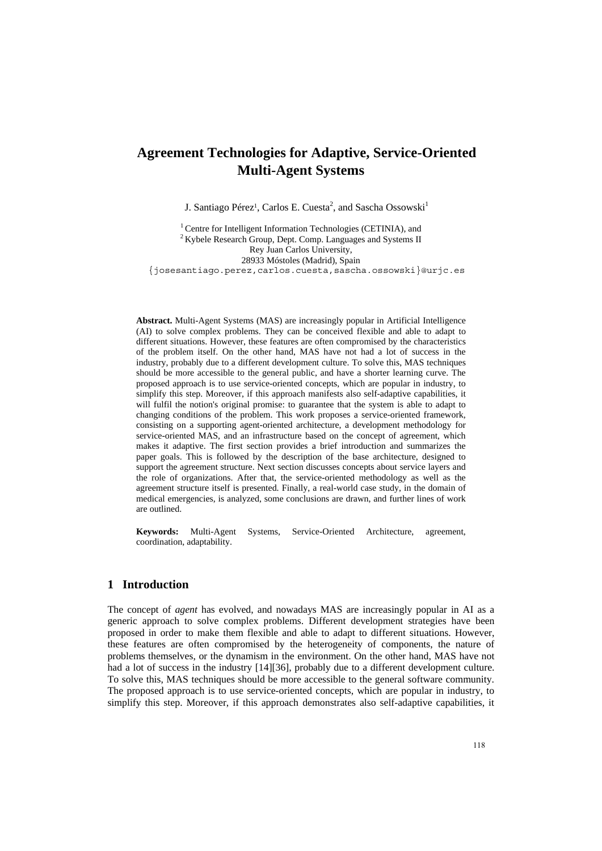# **Agreement Technologies for Adaptive, Service-Oriented Multi-Agent Systems**

J. Santiago Pérez<sup>1</sup>, Carlos E. Cuesta<sup>2</sup>, and Sascha Ossowski<sup>1</sup>

<sup>1</sup> Centre for Intelligent Information Technologies (CETINIA), and <sup>2</sup> Kybele Research Group, Dept. Comp. Languages and Systems II Rey Juan Carlos University, 28933 Móstoles (Madrid), Spain {josesantiago.perez,carlos.cuesta,sascha.ossowski}@urjc.es

**Abstract.** Multi-Agent Systems (MAS) are increasingly popular in Artificial Intelligence (AI) to solve complex problems. They can be conceived flexible and able to adapt to different situations. However, these features are often compromised by the characteristics of the problem itself. On the other hand, MAS have not had a lot of success in the industry, probably due to a different development culture. To solve this, MAS techniques should be more accessible to the general public, and have a shorter learning curve. The proposed approach is to use service-oriented concepts, which are popular in industry, to simplify this step. Moreover, if this approach manifests also self-adaptive capabilities, it will fulfil the notion's original promise: to guarantee that the system is able to adapt to changing conditions of the problem. This work proposes a service-oriented framework, consisting on a supporting agent-oriented architecture, a development methodology for service-oriented MAS, and an infrastructure based on the concept of agreement, which makes it adaptive. The first section provides a brief introduction and summarizes the paper goals. This is followed by the description of the base architecture, designed to support the agreement structure. Next section discusses concepts about service layers and the role of organizations. After that, the service-oriented methodology as well as the agreement structure itself is presented. Finally, a real-world case study, in the domain of medical emergencies, is analyzed, some conclusions are drawn, and further lines of work are outlined.

**Keywords:** Multi-Agent Systems, Service-Oriented Architecture, agreement, coordination, adaptability.

# **1 Introduction**

The concept of *agent* has evolved, and nowadays MAS are increasingly popular in AI as a generic approach to solve complex problems. Different development strategies have been proposed in order to make them flexible and able to adapt to different situations. However, these features are often compromised by the heterogeneity of components, the nature of problems themselves, or the dynamism in the environment. On the other hand, MAS have not had a lot of success in the industry [14][36], probably due to a different development culture. To solve this, MAS techniques should be more accessible to the general software community. The proposed approach is to use service-oriented concepts, which are popular in industry, to simplify this step. Moreover, if this approach demonstrates also self-adaptive capabilities, it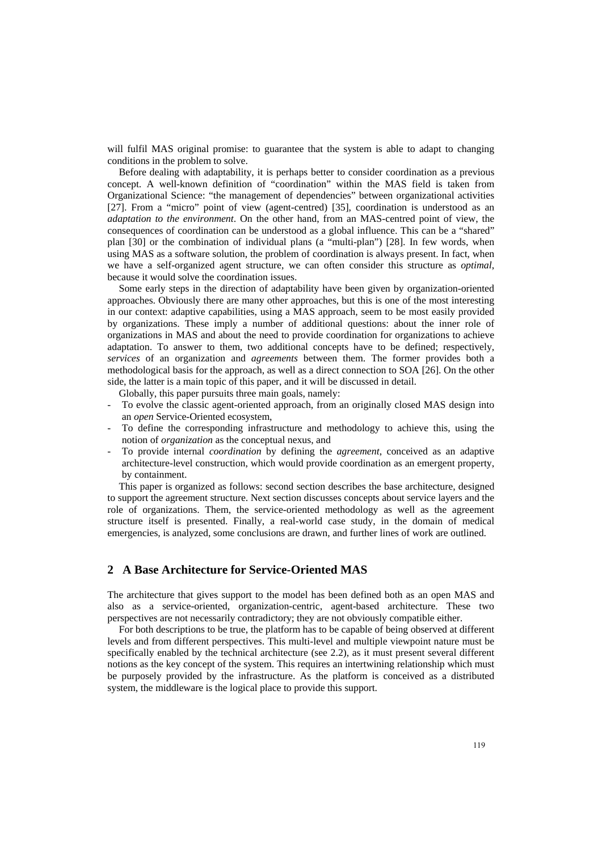will fulfil MAS original promise: to guarantee that the system is able to adapt to changing conditions in the problem to solve.

Before dealing with adaptability, it is perhaps better to consider coordination as a previous concept. A well-known definition of "coordination" within the MAS field is taken from Organizational Science: "the management of dependencies" between organizational activities [27]. From a "micro" point of view (agent-centred) [35], coordination is understood as an *adaptation to the environment*. On the other hand, from an MAS-centred point of view, the consequences of coordination can be understood as a global influence. This can be a "shared" plan [30] or the combination of individual plans (a "multi-plan") [28]. In few words, when using MAS as a software solution, the problem of coordination is always present. In fact, when we have a self-organized agent structure, we can often consider this structure as *optimal*, because it would solve the coordination issues.

Some early steps in the direction of adaptability have been given by organization-oriented approaches. Obviously there are many other approaches, but this is one of the most interesting in our context: adaptive capabilities, using a MAS approach, seem to be most easily provided by organizations. These imply a number of additional questions: about the inner role of organizations in MAS and about the need to provide coordination for organizations to achieve adaptation. To answer to them, two additional concepts have to be defined; respectively, *services* of an organization and *agreements* between them. The former provides both a methodological basis for the approach, as well as a direct connection to SOA [26]. On the other side, the latter is a main topic of this paper, and it will be discussed in detail.

Globally, this paper pursuits three main goals, namely:

- To evolve the classic agent-oriented approach, from an originally closed MAS design into an *open* Service-Oriented ecosystem,
- To define the corresponding infrastructure and methodology to achieve this, using the notion of *organization* as the conceptual nexus, and
- To provide internal *coordination* by defining the *agreement*, conceived as an adaptive architecture-level construction, which would provide coordination as an emergent property, by containment.

This paper is organized as follows: second section describes the base architecture, designed to support the agreement structure. Next section discusses concepts about service layers and the role of organizations. Them, the service-oriented methodology as well as the agreement structure itself is presented. Finally, a real-world case study, in the domain of medical emergencies, is analyzed, some conclusions are drawn, and further lines of work are outlined.

# **2 A Base Architecture for Service-Oriented MAS**

The architecture that gives support to the model has been defined both as an open MAS and also as a service-oriented, organization-centric, agent-based architecture. These two perspectives are not necessarily contradictory; they are not obviously compatible either.

For both descriptions to be true, the platform has to be capable of being observed at different levels and from different perspectives. This multi-level and multiple viewpoint nature must be specifically enabled by the technical architecture (see 2.2), as it must present several different notions as the key concept of the system. This requires an intertwining relationship which must be purposely provided by the infrastructure. As the platform is conceived as a distributed system, the middleware is the logical place to provide this support.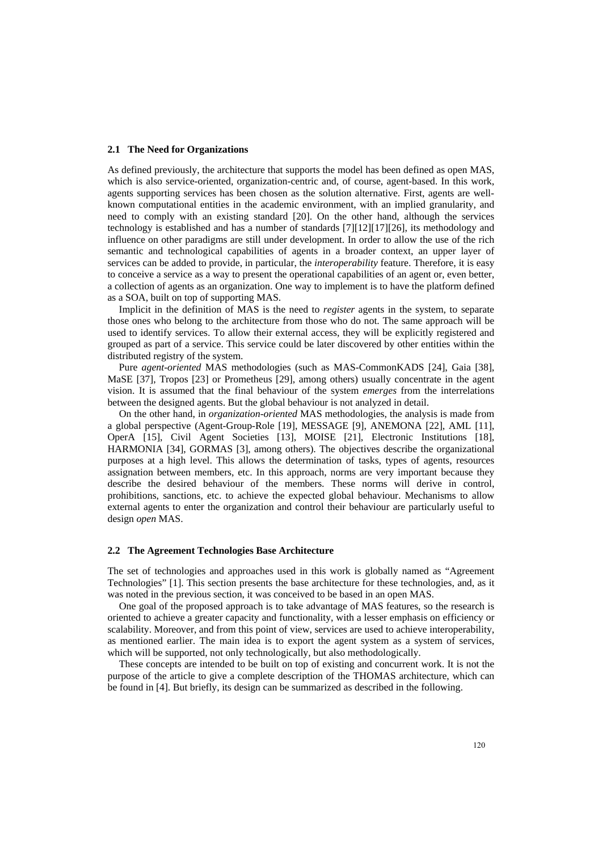#### **2.1 The Need for Organizations**

As defined previously, the architecture that supports the model has been defined as open MAS, which is also service-oriented, organization-centric and, of course, agent-based. In this work, agents supporting services has been chosen as the solution alternative. First, agents are wellknown computational entities in the academic environment, with an implied granularity, and need to comply with an existing standard [20]. On the other hand, although the services technology is established and has a number of standards [7][12][17][26], its methodology and influence on other paradigms are still under development. In order to allow the use of the rich semantic and technological capabilities of agents in a broader context, an upper layer of services can be added to provide, in particular, the *interoperability* feature. Therefore, it is easy to conceive a service as a way to present the operational capabilities of an agent or, even better, a collection of agents as an organization. One way to implement is to have the platform defined as a SOA, built on top of supporting MAS.

Implicit in the definition of MAS is the need to *register* agents in the system, to separate those ones who belong to the architecture from those who do not. The same approach will be used to identify services. To allow their external access, they will be explicitly registered and grouped as part of a service. This service could be later discovered by other entities within the distributed registry of the system.

Pure *agent-oriented* MAS methodologies (such as MAS-CommonKADS [24], Gaia [38], MaSE [37], Tropos [23] or Prometheus [29], among others) usually concentrate in the agent vision. It is assumed that the final behaviour of the system *emerges* from the interrelations between the designed agents. But the global behaviour is not analyzed in detail.

On the other hand, in *organization-oriented* MAS methodologies, the analysis is made from a global perspective (Agent-Group-Role [19], MESSAGE [9], ANEMONA [22], AML [11], OperA [15], Civil Agent Societies [13], MOISE [21], Electronic Institutions [18], HARMONIA [34], GORMAS [3], among others). The objectives describe the organizational purposes at a high level. This allows the determination of tasks, types of agents, resources assignation between members, etc. In this approach, norms are very important because they describe the desired behaviour of the members. These norms will derive in control, prohibitions, sanctions, etc. to achieve the expected global behaviour. Mechanisms to allow external agents to enter the organization and control their behaviour are particularly useful to design *open* MAS.

## **2.2 The Agreement Technologies Base Architecture**

The set of technologies and approaches used in this work is globally named as "Agreement Technologies" [1]. This section presents the base architecture for these technologies, and, as it was noted in the previous section, it was conceived to be based in an open MAS.

One goal of the proposed approach is to take advantage of MAS features, so the research is oriented to achieve a greater capacity and functionality, with a lesser emphasis on efficiency or scalability. Moreover, and from this point of view, services are used to achieve interoperability, as mentioned earlier. The main idea is to export the agent system as a system of services, which will be supported, not only technologically, but also methodologically.

These concepts are intended to be built on top of existing and concurrent work. It is not the purpose of the article to give a complete description of the THOMAS architecture, which can be found in [4]. But briefly, its design can be summarized as described in the following.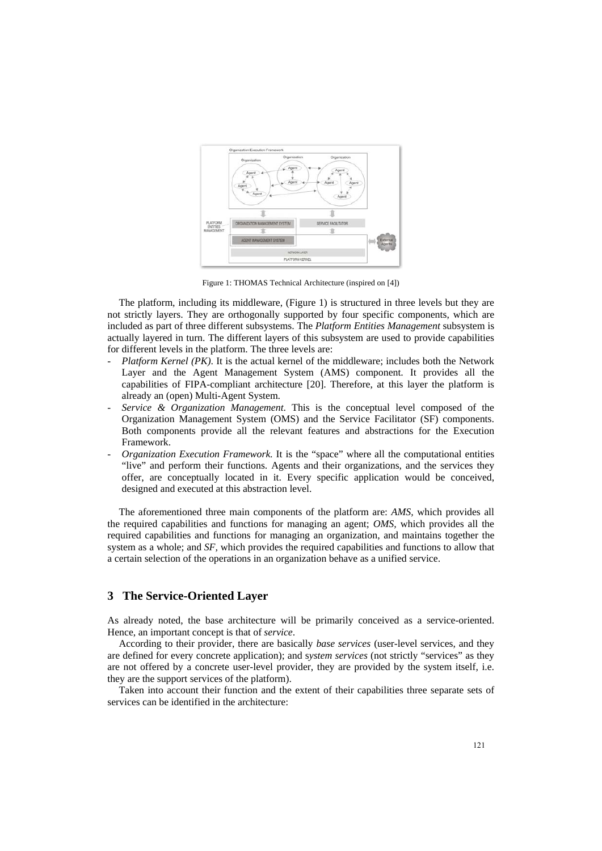

Figure 1: THOMAS Technical Architecture (inspired on [4])

The platform, including its middleware, (Figure 1) is structured in three levels but they are not strictly layers. They are orthogonally supported by four specific components, which are included as part of three different subsystems. The *Platform Entities Management* subsystem is actually layered in turn. The different layers of this subsystem are used to provide capabilities for different levels in the platform. The three levels are:

- *Platform Kernel (PK)*. It is the actual kernel of the middleware; includes both the Network Layer and the Agent Management System (AMS) component. It provides all the capabilities of FIPA-compliant architecture [20]. Therefore, at this layer the platform is already an (open) Multi-Agent System.
- *Service & Organization Management*. This is the conceptual level composed of the Organization Management System (OMS) and the Service Facilitator (SF) components. Both components provide all the relevant features and abstractions for the Execution Framework.
- *Organization Execution Framework*. It is the "space" where all the computational entities "live" and perform their functions. Agents and their organizations, and the services they offer, are conceptually located in it. Every specific application would be conceived, designed and executed at this abstraction level.

The aforementioned three main components of the platform are: *AMS,* which provides all the required capabilities and functions for managing an agent; *OMS,* which provides all the required capabilities and functions for managing an organization, and maintains together the system as a whole; and *SF,* which provides the required capabilities and functions to allow that a certain selection of the operations in an organization behave as a unified service.

# **3 The Service-Oriented Layer**

As already noted, the base architecture will be primarily conceived as a service-oriented. Hence, an important concept is that of *service*.

According to their provider, there are basically *base services* (user-level services, and they are defined for every concrete application); and s*ystem services* (not strictly "services" as they are not offered by a concrete user-level provider, they are provided by the system itself, i.e. they are the support services of the platform).

Taken into account their function and the extent of their capabilities three separate sets of services can be identified in the architecture: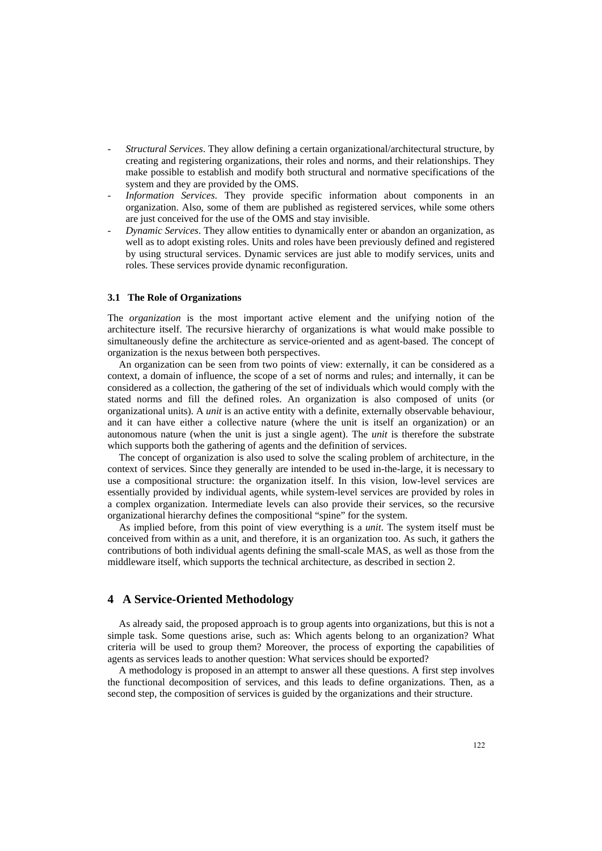- *Structural Services*. They allow defining a certain organizational/architectural structure, by creating and registering organizations, their roles and norms, and their relationships. They make possible to establish and modify both structural and normative specifications of the system and they are provided by the OMS.
- *Information Services*. They provide specific information about components in an organization. Also, some of them are published as registered services, while some others are just conceived for the use of the OMS and stay invisible.
- *Dynamic Services*. They allow entities to dynamically enter or abandon an organization, as well as to adopt existing roles. Units and roles have been previously defined and registered by using structural services. Dynamic services are just able to modify services, units and roles. These services provide dynamic reconfiguration.

#### **3.1 The Role of Organizations**

The *organization* is the most important active element and the unifying notion of the architecture itself. The recursive hierarchy of organizations is what would make possible to simultaneously define the architecture as service-oriented and as agent-based. The concept of organization is the nexus between both perspectives.

An organization can be seen from two points of view: externally, it can be considered as a context, a domain of influence, the scope of a set of norms and rules; and internally, it can be considered as a collection, the gathering of the set of individuals which would comply with the stated norms and fill the defined roles. An organization is also composed of units (or organizational units). A *unit* is an active entity with a definite, externally observable behaviour, and it can have either a collective nature (where the unit is itself an organization) or an autonomous nature (when the unit is just a single agent). The *unit* is therefore the substrate which supports both the gathering of agents and the definition of services.

The concept of organization is also used to solve the scaling problem of architecture, in the context of services. Since they generally are intended to be used in-the-large, it is necessary to use a compositional structure: the organization itself. In this vision, low-level services are essentially provided by individual agents, while system-level services are provided by roles in a complex organization. Intermediate levels can also provide their services, so the recursive organizational hierarchy defines the compositional "spine" for the system.

As implied before, from this point of view everything is a *unit*. The system itself must be conceived from within as a unit, and therefore, it is an organization too. As such, it gathers the contributions of both individual agents defining the small-scale MAS, as well as those from the middleware itself, which supports the technical architecture, as described in section 2.

## **4 A Service-Oriented Methodology**

As already said, the proposed approach is to group agents into organizations, but this is not a simple task. Some questions arise, such as: Which agents belong to an organization? What criteria will be used to group them? Moreover, the process of exporting the capabilities of agents as services leads to another question: What services should be exported?

A methodology is proposed in an attempt to answer all these questions. A first step involves the functional decomposition of services, and this leads to define organizations. Then, as a second step, the composition of services is guided by the organizations and their structure.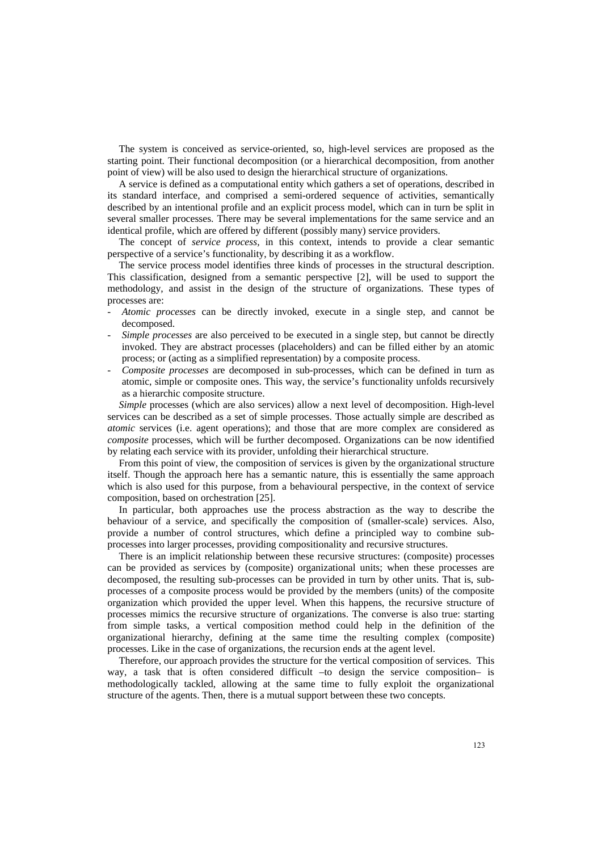The system is conceived as service-oriented, so, high-level services are proposed as the starting point. Their functional decomposition (or a hierarchical decomposition, from another point of view) will be also used to design the hierarchical structure of organizations.

A service is defined as a computational entity which gathers a set of operations, described in its standard interface, and comprised a semi-ordered sequence of activities, semantically described by an intentional profile and an explicit process model, which can in turn be split in several smaller processes. There may be several implementations for the same service and an identical profile, which are offered by different (possibly many) service providers.

The concept of *service process,* in this context, intends to provide a clear semantic perspective of a service's functionality, by describing it as a workflow.

The service process model identifies three kinds of processes in the structural description. This classification, designed from a semantic perspective [2], will be used to support the methodology, and assist in the design of the structure of organizations. These types of processes are:

- *Atomic processes* can be directly invoked, execute in a single step, and cannot be decomposed.
- *Simple processes* are also perceived to be executed in a single step, but cannot be directly invoked. They are abstract processes (placeholders) and can be filled either by an atomic process; or (acting as a simplified representation) by a composite process.
- *Composite processes* are decomposed in sub-processes, which can be defined in turn as atomic, simple or composite ones. This way, the service's functionality unfolds recursively as a hierarchic composite structure.

*Simple* processes (which are also services) allow a next level of decomposition. High-level services can be described as a set of simple processes. Those actually simple are described as *atomic* services (i.e. agent operations); and those that are more complex are considered as *composite* processes, which will be further decomposed. Organizations can be now identified by relating each service with its provider, unfolding their hierarchical structure.

From this point of view, the composition of services is given by the organizational structure itself. Though the approach here has a semantic nature, this is essentially the same approach which is also used for this purpose, from a behavioural perspective, in the context of service composition, based on orchestration [25].

In particular, both approaches use the process abstraction as the way to describe the behaviour of a service, and specifically the composition of (smaller-scale) services. Also, provide a number of control structures, which define a principled way to combine subprocesses into larger processes, providing compositionality and recursive structures.

There is an implicit relationship between these recursive structures: (composite) processes can be provided as services by (composite) organizational units; when these processes are decomposed, the resulting sub-processes can be provided in turn by other units. That is, subprocesses of a composite process would be provided by the members (units) of the composite organization which provided the upper level. When this happens, the recursive structure of processes mimics the recursive structure of organizations. The converse is also true: starting from simple tasks, a vertical composition method could help in the definition of the organizational hierarchy, defining at the same time the resulting complex (composite) processes. Like in the case of organizations, the recursion ends at the agent level.

Therefore, our approach provides the structure for the vertical composition of services. This way, a task that is often considered difficult –to design the service composition– is methodologically tackled, allowing at the same time to fully exploit the organizational structure of the agents. Then, there is a mutual support between these two concepts.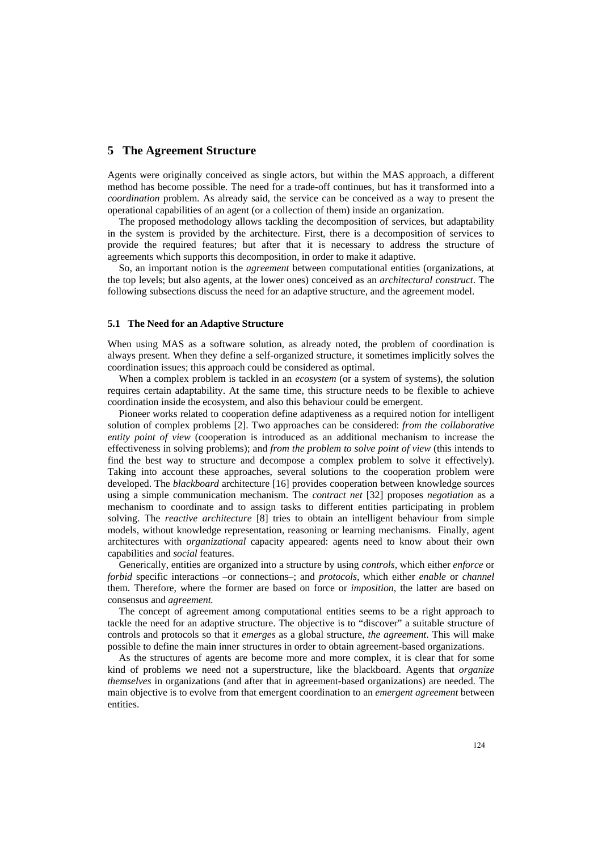# **5 The Agreement Structure**

Agents were originally conceived as single actors, but within the MAS approach, a different method has become possible. The need for a trade-off continues, but has it transformed into a *coordination* problem. As already said, the service can be conceived as a way to present the operational capabilities of an agent (or a collection of them) inside an organization.

The proposed methodology allows tackling the decomposition of services, but adaptability in the system is provided by the architecture. First, there is a decomposition of services to provide the required features; but after that it is necessary to address the structure of agreements which supports this decomposition, in order to make it adaptive.

So, an important notion is the *agreement* between computational entities (organizations, at the top levels; but also agents, at the lower ones) conceived as an *architectural construct*. The following subsections discuss the need for an adaptive structure, and the agreement model.

### **5.1 The Need for an Adaptive Structure**

When using MAS as a software solution, as already noted, the problem of coordination is always present. When they define a self-organized structure, it sometimes implicitly solves the coordination issues; this approach could be considered as optimal.

When a complex problem is tackled in an *ecosystem* (or a system of systems), the solution requires certain adaptability. At the same time, this structure needs to be flexible to achieve coordination inside the ecosystem, and also this behaviour could be emergent.

Pioneer works related to cooperation define adaptiveness as a required notion for intelligent solution of complex problems [2]. Two approaches can be considered: *from the collaborative entity point of view* (cooperation is introduced as an additional mechanism to increase the effectiveness in solving problems); and *from the problem to solve point of view* (this intends to find the best way to structure and decompose a complex problem to solve it effectively). Taking into account these approaches, several solutions to the cooperation problem were developed. The *blackboard* architecture [16] provides cooperation between knowledge sources using a simple communication mechanism. The *contract net* [32] proposes *negotiation* as a mechanism to coordinate and to assign tasks to different entities participating in problem solving. The *reactive architecture* [8] tries to obtain an intelligent behaviour from simple models, without knowledge representation, reasoning or learning mechanisms. Finally, agent architectures with *organizational* capacity appeared: agents need to know about their own capabilities and *social* features.

Generically, entities are organized into a structure by using *controls*, which either *enforce* or *forbid* specific interactions –or connections–; and *protocols*, which either *enable* or *channel* them. Therefore, where the former are based on force or *imposition*, the latter are based on consensus and *agreement.*

The concept of agreement among computational entities seems to be a right approach to tackle the need for an adaptive structure. The objective is to "discover" a suitable structure of controls and protocols so that it *emerges* as a global structure, *the agreement*. This will make possible to define the main inner structures in order to obtain agreement-based organizations.

As the structures of agents are become more and more complex, it is clear that for some kind of problems we need not a superstructure, like the blackboard. Agents that *organize themselves* in organizations (and after that in agreement-based organizations) are needed. The main objective is to evolve from that emergent coordination to an *emergent agreement* between entities.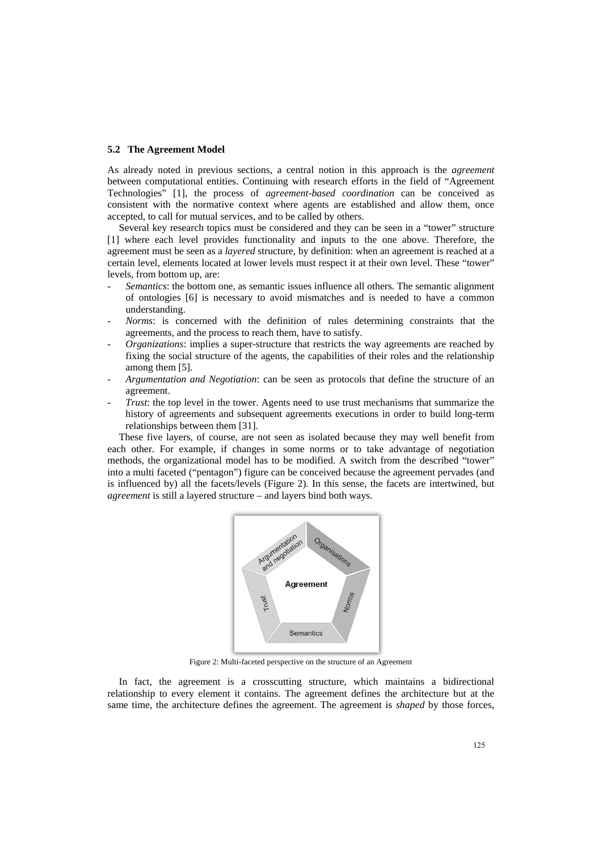### **5.2 The Agreement Model**

As already noted in previous sections, a central notion in this approach is the *agreement* between computational entities. Continuing with research efforts in the field of "Agreement Technologies" [1], the process of *agreement-based coordination* can be conceived as consistent with the normative context where agents are established and allow them, once accepted, to call for mutual services, and to be called by others.

Several key research topics must be considered and they can be seen in a "tower" structure [1] where each level provides functionality and inputs to the one above. Therefore, the agreement must be seen as a *layered* structure, by definition: when an agreement is reached at a certain level, elements located at lower levels must respect it at their own level. These "tower" levels, from bottom up, are:

- *Semantics*: the bottom one, as semantic issues influence all others. The semantic alignment of ontologies [6] is necessary to avoid mismatches and is needed to have a common understanding.
- *Norms*: is concerned with the definition of rules determining constraints that the agreements, and the process to reach them, have to satisfy.
- *Organizations*: implies a super-structure that restricts the way agreements are reached by fixing the social structure of the agents, the capabilities of their roles and the relationship among them [5].
- *Argumentation and Negotiation*: can be seen as protocols that define the structure of an agreement.
- *Trust*: the top level in the tower. Agents need to use trust mechanisms that summarize the history of agreements and subsequent agreements executions in order to build long-term relationships between them [31].

These five layers, of course, are not seen as isolated because they may well benefit from each other. For example, if changes in some norms or to take advantage of negotiation methods, the organizational model has to be modified. A switch from the described "tower" into a multi faceted ("pentagon") figure can be conceived because the agreement pervades (and is influenced by) all the facets/levels (Figure 2). In this sense, the facets are intertwined, but *agreement* is still a layered structure – and layers bind both ways.



Figure 2: Multi-faceted perspective on the structure of an Agreement

In fact, the agreement is a crosscutting structure, which maintains a bidirectional relationship to every element it contains. The agreement defines the architecture but at the same time, the architecture defines the agreement. The agreement is *shaped* by those forces,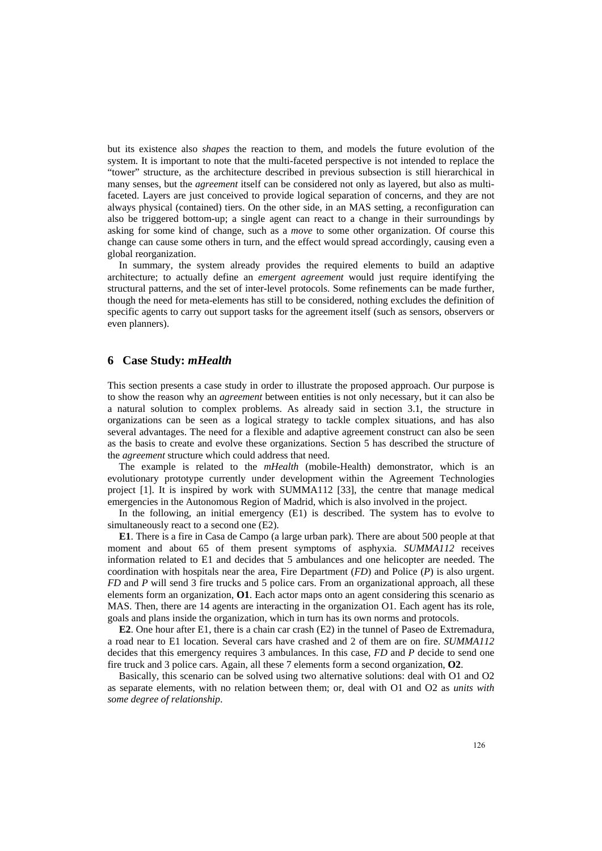but its existence also *shapes* the reaction to them, and models the future evolution of the system. It is important to note that the multi-faceted perspective is not intended to replace the "tower" structure, as the architecture described in previous subsection is still hierarchical in many senses, but the *agreement* itself can be considered not only as layered, but also as multifaceted. Layers are just conceived to provide logical separation of concerns, and they are not always physical (contained) tiers. On the other side, in an MAS setting, a reconfiguration can also be triggered bottom-up; a single agent can react to a change in their surroundings by asking for some kind of change, such as a *move* to some other organization. Of course this change can cause some others in turn, and the effect would spread accordingly, causing even a global reorganization.

In summary, the system already provides the required elements to build an adaptive architecture; to actually define an *emergent agreement* would just require identifying the structural patterns, and the set of inter-level protocols. Some refinements can be made further, though the need for meta-elements has still to be considered, nothing excludes the definition of specific agents to carry out support tasks for the agreement itself (such as sensors, observers or even planners).

# **6 Case Study:** *mHealth*

This section presents a case study in order to illustrate the proposed approach. Our purpose is to show the reason why an *agreement* between entities is not only necessary, but it can also be a natural solution to complex problems. As already said in section 3.1, the structure in organizations can be seen as a logical strategy to tackle complex situations, and has also several advantages. The need for a flexible and adaptive agreement construct can also be seen as the basis to create and evolve these organizations. Section 5 has described the structure of the *agreement* structure which could address that need.

The example is related to the *mHealth* (mobile-Health) demonstrator, which is an evolutionary prototype currently under development within the Agreement Technologies project [1]. It is inspired by work with SUMMA112 [33], the centre that manage medical emergencies in the Autonomous Region of Madrid, which is also involved in the project.

In the following, an initial emergency (E1) is described. The system has to evolve to simultaneously react to a second one  $(E2)$ .

**E1**. There is a fire in Casa de Campo (a large urban park). There are about 500 people at that moment and about 65 of them present symptoms of asphyxia. *SUMMA112* receives information related to E1 and decides that 5 ambulances and one helicopter are needed. The coordination with hospitals near the area, Fire Department (*FD*) and Police (*P*) is also urgent. *FD* and *P* will send 3 fire trucks and 5 police cars. From an organizational approach, all these elements form an organization, **O1**. Each actor maps onto an agent considering this scenario as MAS. Then, there are 14 agents are interacting in the organization O1. Each agent has its role, goals and plans inside the organization, which in turn has its own norms and protocols.

**E2**. One hour after E1, there is a chain car crash (E2) in the tunnel of Paseo de Extremadura, a road near to E1 location. Several cars have crashed and 2 of them are on fire. *SUMMA112* decides that this emergency requires 3 ambulances. In this case, *FD* and *P* decide to send one fire truck and 3 police cars. Again, all these 7 elements form a second organization, **O2**.

Basically, this scenario can be solved using two alternative solutions: deal with O1 and O2 as separate elements, with no relation between them; or, deal with O1 and O2 as *units with some degree of relationship*.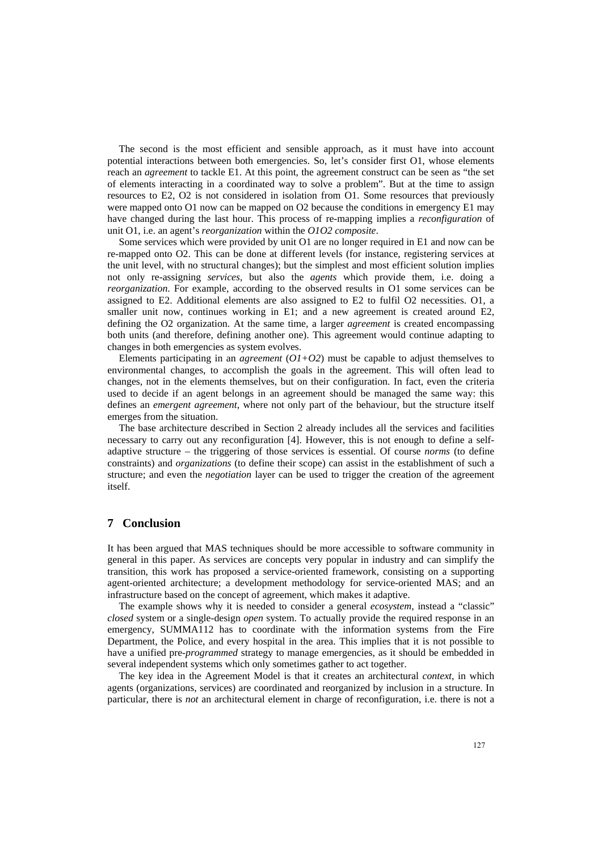The second is the most efficient and sensible approach, as it must have into account potential interactions between both emergencies. So, let's consider first O1, whose elements reach an *agreement* to tackle E1. At this point, the agreement construct can be seen as "the set of elements interacting in a coordinated way to solve a problem". But at the time to assign resources to E2, O2 is not considered in isolation from O1. Some resources that previously were mapped onto O1 now can be mapped on O2 because the conditions in emergency E1 may have changed during the last hour. This process of re-mapping implies a *reconfiguration* of unit O1, i.e. an agent's *reorganization* within the *O1O2 composite*.

Some services which were provided by unit O1 are no longer required in E1 and now can be re-mapped onto O2. This can be done at different levels (for instance, registering services at the unit level, with no structural changes); but the simplest and most efficient solution implies not only re-assigning *services*, but also the *agents* which provide them, i.e. doing a *reorganization*. For example, according to the observed results in O1 some services can be assigned to E2. Additional elements are also assigned to E2 to fulfil O2 necessities. O1, a smaller unit now, continues working in E1; and a new agreement is created around E2, defining the O2 organization. At the same time, a larger *agreement* is created encompassing both units (and therefore, defining another one). This agreement would continue adapting to changes in both emergencies as system evolves.

Elements participating in an *agreement* (*O1+O2*) must be capable to adjust themselves to environmental changes, to accomplish the goals in the agreement. This will often lead to changes, not in the elements themselves, but on their configuration. In fact, even the criteria used to decide if an agent belongs in an agreement should be managed the same way: this defines an *emergent agreement*, where not only part of the behaviour, but the structure itself emerges from the situation.

The base architecture described in Section 2 already includes all the services and facilities necessary to carry out any reconfiguration [4]. However, this is not enough to define a selfadaptive structure – the triggering of those services is essential. Of course *norms* (to define constraints) and *organizations* (to define their scope) can assist in the establishment of such a structure; and even the *negotiation* layer can be used to trigger the creation of the agreement itself.

## **7 Conclusion**

It has been argued that MAS techniques should be more accessible to software community in general in this paper. As services are concepts very popular in industry and can simplify the transition, this work has proposed a service-oriented framework, consisting on a supporting agent-oriented architecture; a development methodology for service-oriented MAS; and an infrastructure based on the concept of agreement, which makes it adaptive.

The example shows why it is needed to consider a general *ecosystem*, instead a "classic" *closed* system or a single-design *open* system. To actually provide the required response in an emergency, SUMMA112 has to coordinate with the information systems from the Fire Department, the Police, and every hospital in the area. This implies that it is not possible to have a unified pre-*programmed* strategy to manage emergencies, as it should be embedded in several independent systems which only sometimes gather to act together.

The key idea in the Agreement Model is that it creates an architectural *context*, in which agents (organizations, services) are coordinated and reorganized by inclusion in a structure. In particular, there is *not* an architectural element in charge of reconfiguration, i.e. there is not a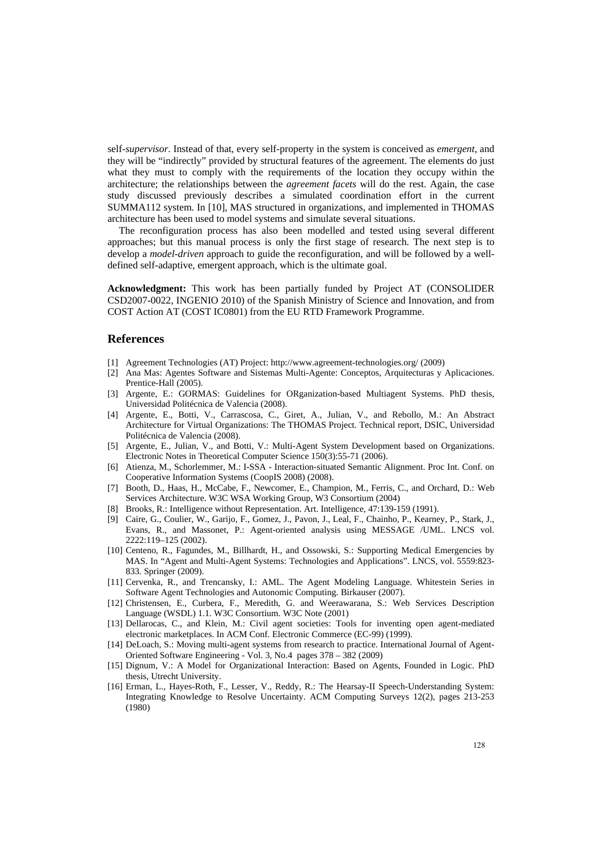self-*supervisor*. Instead of that, every self-property in the system is conceived as *emergent*, and they will be "indirectly" provided by structural features of the agreement. The elements do just what they must to comply with the requirements of the location they occupy within the architecture; the relationships between the *agreement facets* will do the rest. Again, the case study discussed previously describes a simulated coordination effort in the current SUMMA112 system. In [10], MAS structured in organizations, and implemented in THOMAS architecture has been used to model systems and simulate several situations.

The reconfiguration process has also been modelled and tested using several different approaches; but this manual process is only the first stage of research. The next step is to develop a *model-driven* approach to guide the reconfiguration, and will be followed by a welldefined self-adaptive, emergent approach, which is the ultimate goal.

**Acknowledgment:** This work has been partially funded by Project AT (CONSOLIDER CSD2007-0022, INGENIO 2010) of the Spanish Ministry of Science and Innovation, and from COST Action AT (COST IC0801) from the EU RTD Framework Programme.

## **References**

- [1] Agreement Technologies (AT) Project: http://www.agreement-technologies.org/ (2009)
- [2] Ana Mas: Agentes Software and Sistemas Multi-Agente: Conceptos, Arquitecturas y Aplicaciones. Prentice-Hall (2005).
- [3] Argente, E.: GORMAS: Guidelines for ORganization-based Multiagent Systems. PhD thesis, Universidad Politécnica de Valencia (2008).
- [4] Argente, E., Botti, V., Carrascosa, C., Giret, A., Julian, V., and Rebollo, M.: An Abstract Architecture for Virtual Organizations: The THOMAS Project. Technical report, DSIC, Universidad Politécnica de Valencia (2008).
- [5] Argente, E., Julian, V., and Botti, V.: Multi-Agent System Development based on Organizations. Electronic Notes in Theoretical Computer Science 150(3):55-71 (2006).
- [6] Atienza, M., Schorlemmer, M.: I-SSA Interaction-situated Semantic Alignment. Proc Int. Conf. on Cooperative Information Systems (CoopIS 2008) (2008).
- [7] Booth, D., Haas, H., McCabe, F., Newcomer, E., Champion, M., Ferris, C., and Orchard, D.: Web Services Architecture. W3C WSA Working Group, W3 Consortium (2004)
- [8] Brooks, R.: Intelligence without Representation. Art. Intelligence, 47:139-159 (1991).
- [9] Caire, G., Coulier, W., Garijo, F., Gomez, J., Pavon, J., Leal, F., Chainho, P., Kearney, P., Stark, J., Evans, R., and Massonet, P.: Agent-oriented analysis using MESSAGE /UML. LNCS vol. 2222:119–125 (2002).
- [10] Centeno, R., Fagundes, M., Billhardt, H., and Ossowski, S.: Supporting Medical Emergencies by MAS. In "Agent and Multi-Agent Systems: Technologies and Applications". LNCS, vol. 5559:823- 833. Springer (2009).
- [11] Cervenka, R., and Trencansky, I.: AML. The Agent Modeling Language. Whitestein Series in Software Agent Technologies and Autonomic Computing. Birkauser (2007).
- [12] Christensen, E., Curbera, F., Meredith, G. and Weerawarana, S.: Web Services Description Language (WSDL) 1.1. W3C Consortium. W3C Note (2001)
- [13] Dellarocas, C., and Klein, M.: Civil agent societies: Tools for inventing open agent-mediated electronic marketplaces. In ACM Conf. Electronic Commerce (EC-99) (1999).
- [14] DeLoach, S.: Moving multi-agent systems from research to practice. International Journal of Agent-Oriented Software Engineering - Vol. 3, No.4 pages 378 – 382 (2009)
- [15] Dignum, V.: A Model for Organizational Interaction: Based on Agents, Founded in Logic. PhD thesis, Utrecht University.
- [16] Erman, L., Hayes-Roth, F., Lesser, V., Reddy, R.: The Hearsay-II Speech-Understanding System: Integrating Knowledge to Resolve Uncertainty. ACM Computing Surveys 12(2), pages 213-253 (1980)